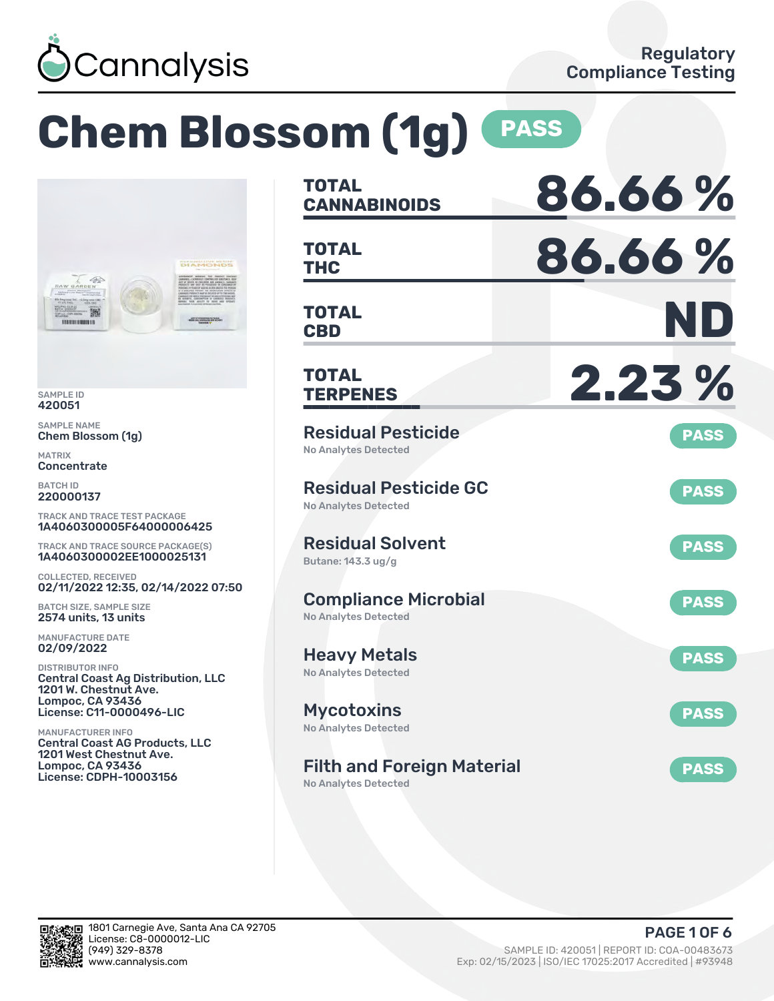

# **Chem Blossom (1g) PASS**



SAMPLE ID 420051

SAMPLE NAME Chem Blossom (1g)

MATRIX Concentrate

BATCH ID 220000137

TRACK AND TRACE TEST PACKAGE 1A4060300005F64000006425

TRACK AND TRACE SOURCE PACKAGE(S) 1A4060300002EE1000025131

COLLECTED, RECEIVED 02/11/2022 12:35, 02/14/2022 07:50

BATCH SIZE, SAMPLE SIZE 2574 units, 13 units

MANUFACTURE DATE 02/09/2022

DISTRIBUTOR INFO Central Coast Ag Distribution, LLC 1201 W. Chestnut Ave. Lompoc, CA 93436 License: C11-0000496-LIC

MANUFACTURER INFO Central Coast AG Products, LLC 1201 West Chestnut Ave. Lompoc, CA 93436 License: CDPH-10003156

| <b>TOTAL</b><br><b>CANNABINOIDS</b>                         | 86.66%      |
|-------------------------------------------------------------|-------------|
| <b>TOTAL</b><br><b>THC</b>                                  | 86.66%      |
| <b>TOTAL</b><br><b>CBD</b>                                  | ND          |
| <b>TOTAL</b><br><b>TERPENES</b>                             | 2.23 %      |
| <b>Residual Pesticide</b><br><b>No Analytes Detected</b>    | <b>PASS</b> |
| <b>Residual Pesticide GC</b><br><b>No Analytes Detected</b> | <b>PASS</b> |
| <b>Residual Solvent</b><br>Butane: 143.3 ug/g               | <b>PASS</b> |
| <b>Compliance Microbial</b><br><b>No Analytes Detected</b>  | <b>PASS</b> |
| <b>Heavy Metals</b><br><b>No Analytes Detected</b>          | <b>PASS</b> |
| <b>Mycotoxins</b><br>No Analytes Detected                   | <b>PASS</b> |
| <b>Filth and Foreign Material</b>                           | <b>PASS</b> |

No Analytes Detected

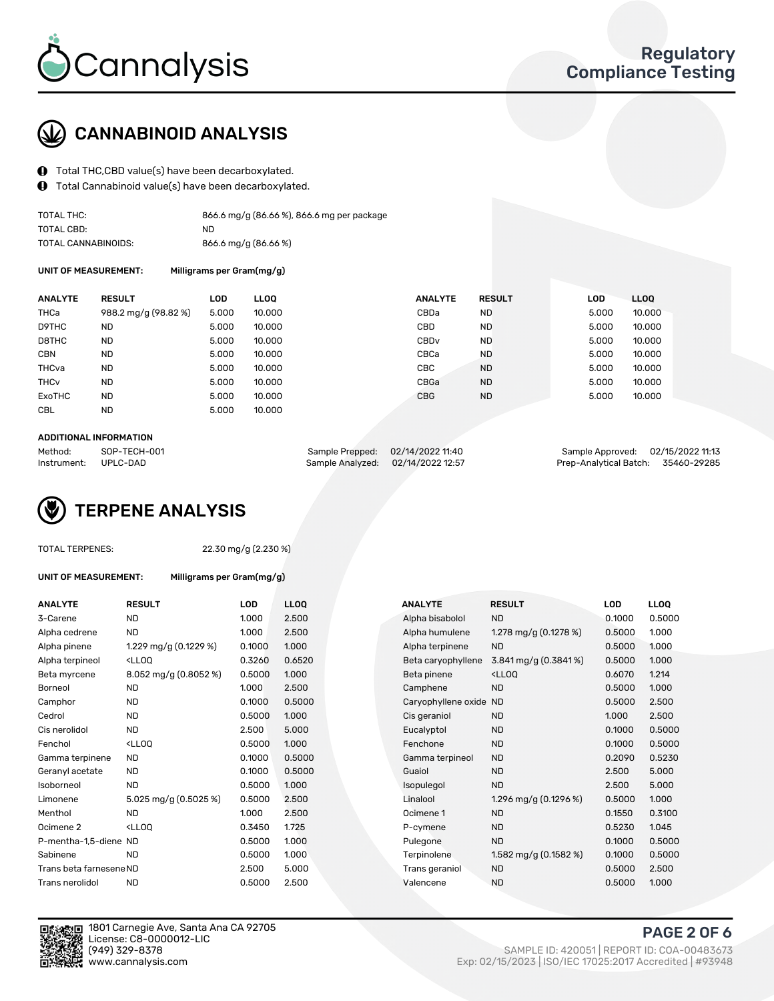

## CANNABINOID ANALYSIS

- $\bigoplus$  Total THC, CBD value(s) have been decarboxylated.
- Total Cannabinoid value(s) have been decarboxylated.  $\bf{0}$

| TOTAL THC:          | 866.6 mg/g (86.66 %), 866.6 mg per package |
|---------------------|--------------------------------------------|
| TOTAL CBD:          | ND.                                        |
| TOTAL CANNABINOIDS: | 866.6 mg/g (86.66 %)                       |

UNIT OF MEASUREMENT: Milligrams per Gram(mg/g)

| <b>ANALYTE</b>         | <b>RESULT</b>        | <b>LOD</b> | <b>LLOO</b> | <b>ANALYTE</b>   | <b>RESULT</b> | <b>LOD</b> | LLOO   |
|------------------------|----------------------|------------|-------------|------------------|---------------|------------|--------|
| THCa                   | 988.2 mg/g (98.82 %) | 5.000      | 10.000      | CBDa             | <b>ND</b>     | 5.000      | 10.000 |
| D9THC                  | <b>ND</b>            | 5.000      | 10.000      | CBD              | <b>ND</b>     | 5.000      | 10.000 |
| D8THC                  | <b>ND</b>            | 5.000      | 10.000      | CBD <sub>v</sub> | <b>ND</b>     | 5.000      | 10.000 |
| <b>CBN</b>             | <b>ND</b>            | 5.000      | 10.000      | CBCa             | <b>ND</b>     | 5.000      | 10.000 |
| THCva                  | <b>ND</b>            | 5.000      | 10.000      | CBC.             | <b>ND</b>     | 5.000      | 10.000 |
| <b>THC<sub>v</sub></b> | <b>ND</b>            | 5.000      | 10.000      | CBGa             | <b>ND</b>     | 5.000      | 10.000 |
| ExoTHC                 | <b>ND</b>            | 5.000      | 10.000      | <b>CBG</b>       | <b>ND</b>     | 5.000      | 10.000 |
| <b>CBL</b>             | <b>ND</b>            | 5.000      | 10.000      |                  |               |            |        |

#### ADDITIONAL INFORMATION

| Method:              | SOP-TECH-001 | Sample Prepped: 02/14/2022 11:40  | Sample Approved: 02/15/2022 11:13  |  |
|----------------------|--------------|-----------------------------------|------------------------------------|--|
| Instrument: UPLC-DAD |              | Sample Analyzed: 02/14/2022 12:57 | Prep-Analytical Batch: 35460-29285 |  |

## TERPENE ANALYSIS

|  | TOTAL TERPENES: |
|--|-----------------|
|--|-----------------|

22.30 mg/g (2.230 %)

UNIT OF MEASUREMENT: Milligrams per Gram(mg/g)

| <b>ANALYTE</b>          | <b>RESULT</b>                                       | LOD    | LLOO   |
|-------------------------|-----------------------------------------------------|--------|--------|
| 3-Carene                | ND                                                  | 1.000  | 2.500  |
| Alpha cedrene           | <b>ND</b>                                           | 1.000  | 2.500  |
| Alpha pinene            | 1.229 mg/g (0.1229 %)                               | 0.1000 | 1.000  |
| Alpha terpineol         | <lloo< td=""><td>0.3260</td><td>0.6520</td></lloo<> | 0.3260 | 0.6520 |
| Beta myrcene            | $8.052 \,\mathrm{mg/g}$ (0.8052 %)                  | 0.5000 | 1.000  |
| <b>Borneol</b>          | <b>ND</b>                                           | 1.000  | 2.500  |
| Camphor                 | <b>ND</b>                                           | 0.1000 | 0.5000 |
| Cedrol                  | ND                                                  | 0.5000 | 1.000  |
| Cis nerolidol           | ND                                                  | 2.500  | 5.000  |
| Fenchol                 | <lloo< td=""><td>0.5000</td><td>1.000</td></lloo<>  | 0.5000 | 1.000  |
| Gamma terpinene         | <b>ND</b>                                           | 0.1000 | 0.5000 |
| Geranyl acetate         | ND                                                  | 0.1000 | 0.5000 |
| Isoborneol              | <b>ND</b>                                           | 0.5000 | 1.000  |
| Limonene                | 5.025 mg/g $(0.5025\%)$                             | 0.5000 | 2.500  |
| Menthol                 | ND.                                                 | 1.000  | 2.500  |
| Ocimene <sub>2</sub>    | <lloo< td=""><td>0.3450</td><td>1.725</td></lloo<>  | 0.3450 | 1.725  |
| P-mentha-1,5-diene ND   |                                                     | 0.5000 | 1.000  |
| Sabinene                | ND                                                  | 0.5000 | 1.000  |
| Trans beta farnesene ND |                                                     | 2.500  | 5.000  |
| Trans nerolidol         | ND                                                  | 0.5000 | 2.500  |





1801 Carnegie Ave, Santa Ana CA 92705 License: C8-0000012-LIC<br>(949) 329-8378

PAGE 2 OF 6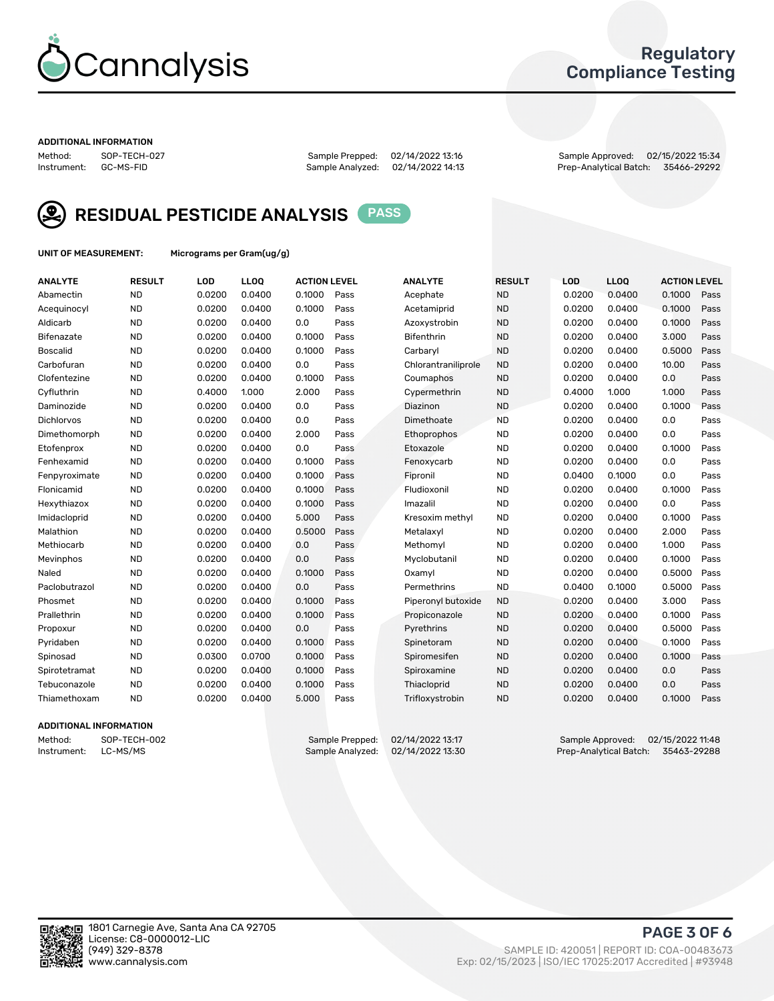

## Regulatory Compliance Testing

#### ADDITIONAL INFORMATION

Method: SOP-TECH-027 Sample Prepped: 02/14/2022 13:16 Sample Approved: 02/15/2022 15:34 Prep-Analytical Batch: 35466-29292



RESIDUAL PESTICIDE ANALYSIS PASS

UNIT OF MEASUREMENT: Micrograms per Gram(ug/g)

| <b>ANALYTE</b>    | <b>RESULT</b> | LOD    | LL <sub>OO</sub> | <b>ACTION LEVEL</b> |      | <b>ANALYTE</b>      | <b>RESULT</b> | LOD    | <b>LLOQ</b> | <b>ACTION LEVEL</b> |      |
|-------------------|---------------|--------|------------------|---------------------|------|---------------------|---------------|--------|-------------|---------------------|------|
| Abamectin         | <b>ND</b>     | 0.0200 | 0.0400           | 0.1000              | Pass | Acephate            | <b>ND</b>     | 0.0200 | 0.0400      | 0.1000              | Pass |
| Acequinocyl       | <b>ND</b>     | 0.0200 | 0.0400           | 0.1000              | Pass | Acetamiprid         | <b>ND</b>     | 0.0200 | 0.0400      | 0.1000              | Pass |
| Aldicarb          | <b>ND</b>     | 0.0200 | 0.0400           | 0.0                 | Pass | Azoxystrobin        | <b>ND</b>     | 0.0200 | 0.0400      | 0.1000              | Pass |
| Bifenazate        | <b>ND</b>     | 0.0200 | 0.0400           | 0.1000              | Pass | <b>Bifenthrin</b>   | <b>ND</b>     | 0.0200 | 0.0400      | 3.000               | Pass |
| <b>Boscalid</b>   | <b>ND</b>     | 0.0200 | 0.0400           | 0.1000              | Pass | Carbaryl            | <b>ND</b>     | 0.0200 | 0.0400      | 0.5000              | Pass |
| Carbofuran        | <b>ND</b>     | 0.0200 | 0.0400           | 0.0                 | Pass | Chlorantraniliprole | <b>ND</b>     | 0.0200 | 0.0400      | 10.00               | Pass |
| Clofentezine      | <b>ND</b>     | 0.0200 | 0.0400           | 0.1000              | Pass | Coumaphos           | <b>ND</b>     | 0.0200 | 0.0400      | 0.0                 | Pass |
| Cyfluthrin        | <b>ND</b>     | 0.4000 | 1.000            | 2.000               | Pass | Cypermethrin        | <b>ND</b>     | 0.4000 | 1.000       | 1.000               | Pass |
| Daminozide        | <b>ND</b>     | 0.0200 | 0.0400           | 0.0                 | Pass | Diazinon            | <b>ND</b>     | 0.0200 | 0.0400      | 0.1000              | Pass |
| <b>Dichlorvos</b> | <b>ND</b>     | 0.0200 | 0.0400           | 0.0                 | Pass | Dimethoate          | <b>ND</b>     | 0.0200 | 0.0400      | 0.0                 | Pass |
| Dimethomorph      | <b>ND</b>     | 0.0200 | 0.0400           | 2.000               | Pass | Ethoprophos         | <b>ND</b>     | 0.0200 | 0.0400      | 0.0                 | Pass |
| Etofenprox        | <b>ND</b>     | 0.0200 | 0.0400           | 0.0                 | Pass | Etoxazole           | <b>ND</b>     | 0.0200 | 0.0400      | 0.1000              | Pass |
| Fenhexamid        | <b>ND</b>     | 0.0200 | 0.0400           | 0.1000              | Pass | Fenoxycarb          | <b>ND</b>     | 0.0200 | 0.0400      | 0.0                 | Pass |
| Fenpyroximate     | <b>ND</b>     | 0.0200 | 0.0400           | 0.1000              | Pass | Fipronil            | <b>ND</b>     | 0.0400 | 0.1000      | 0.0                 | Pass |
| Flonicamid        | <b>ND</b>     | 0.0200 | 0.0400           | 0.1000              | Pass | Fludioxonil         | <b>ND</b>     | 0.0200 | 0.0400      | 0.1000              | Pass |
| Hexythiazox       | <b>ND</b>     | 0.0200 | 0.0400           | 0.1000              | Pass | Imazalil            | <b>ND</b>     | 0.0200 | 0.0400      | 0.0                 | Pass |
| Imidacloprid      | <b>ND</b>     | 0.0200 | 0.0400           | 5.000               | Pass | Kresoxim methyl     | <b>ND</b>     | 0.0200 | 0.0400      | 0.1000              | Pass |
| Malathion         | <b>ND</b>     | 0.0200 | 0.0400           | 0.5000              | Pass | Metalaxyl           | <b>ND</b>     | 0.0200 | 0.0400      | 2.000               | Pass |
| Methiocarb        | <b>ND</b>     | 0.0200 | 0.0400           | 0.0                 | Pass | Methomyl            | <b>ND</b>     | 0.0200 | 0.0400      | 1.000               | Pass |
| Mevinphos         | <b>ND</b>     | 0.0200 | 0.0400           | 0.0                 | Pass | Myclobutanil        | <b>ND</b>     | 0.0200 | 0.0400      | 0.1000              | Pass |
| Naled             | <b>ND</b>     | 0.0200 | 0.0400           | 0.1000              | Pass | Oxamyl              | <b>ND</b>     | 0.0200 | 0.0400      | 0.5000              | Pass |
| Paclobutrazol     | <b>ND</b>     | 0.0200 | 0.0400           | 0.0                 | Pass | Permethrins         | <b>ND</b>     | 0.0400 | 0.1000      | 0.5000              | Pass |
| Phosmet           | <b>ND</b>     | 0.0200 | 0.0400           | 0.1000              | Pass | Piperonyl butoxide  | <b>ND</b>     | 0.0200 | 0.0400      | 3.000               | Pass |
| Prallethrin       | <b>ND</b>     | 0.0200 | 0.0400           | 0.1000              | Pass | Propiconazole       | <b>ND</b>     | 0.0200 | 0.0400      | 0.1000              | Pass |
| Propoxur          | <b>ND</b>     | 0.0200 | 0.0400           | 0.0                 | Pass | Pyrethrins          | <b>ND</b>     | 0.0200 | 0.0400      | 0.5000              | Pass |
| Pyridaben         | <b>ND</b>     | 0.0200 | 0.0400           | 0.1000              | Pass | Spinetoram          | <b>ND</b>     | 0.0200 | 0.0400      | 0.1000              | Pass |
| Spinosad          | <b>ND</b>     | 0.0300 | 0.0700           | 0.1000              | Pass | Spiromesifen        | <b>ND</b>     | 0.0200 | 0.0400      | 0.1000              | Pass |
| Spirotetramat     | <b>ND</b>     | 0.0200 | 0.0400           | 0.1000              | Pass | Spiroxamine         | <b>ND</b>     | 0.0200 | 0.0400      | 0.0                 | Pass |
| Tebuconazole      | <b>ND</b>     | 0.0200 | 0.0400           | 0.1000              | Pass | Thiacloprid         | <b>ND</b>     | 0.0200 | 0.0400      | 0.0                 | Pass |
| Thiamethoxam      | <b>ND</b>     | 0.0200 | 0.0400           | 5.000               | Pass | Trifloxystrobin     | <b>ND</b>     | 0.0200 | 0.0400      | 0.1000              | Pass |

#### ADDITIONAL INFORMATION

Method: SOP-TECH-002 Sample Prepped: 02/14/2022 13:17 Sample Approved: 02/15/2022 11:48 Prep-Analytical Batch: 35463-29288

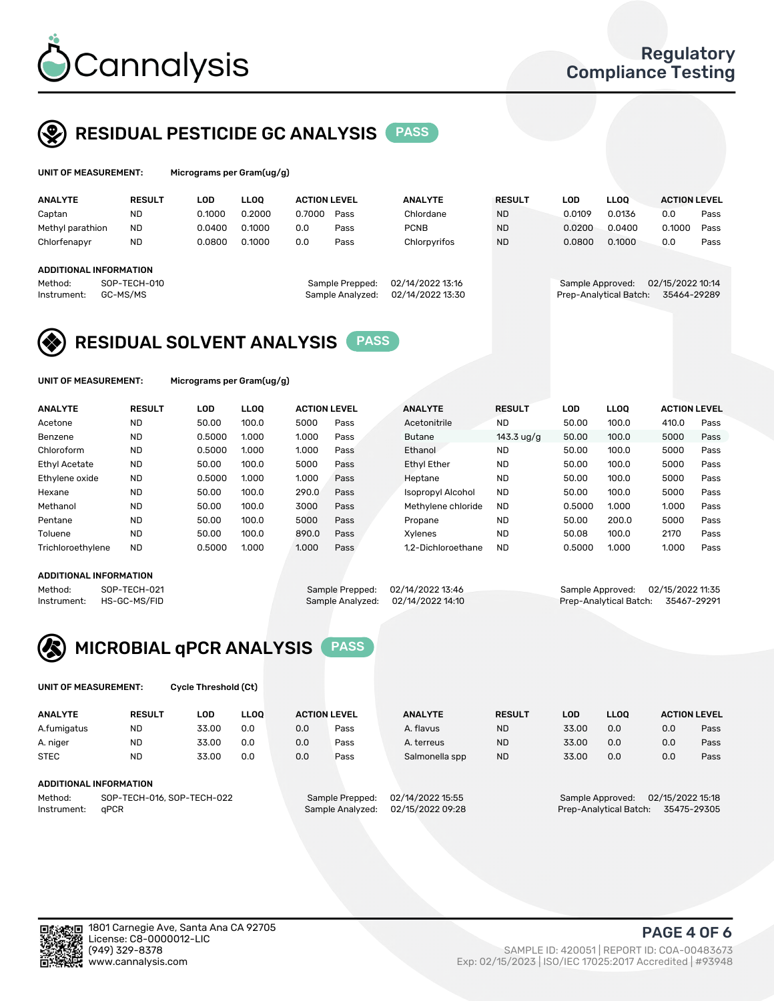

## RESIDUAL PESTICIDE GC ANALYSIS PASS

| UNIT OF MEASUREMENT:   |               | Micrograms per Gram(ug/g) |             |                     |                  |                  |               |            |                        |                     |      |
|------------------------|---------------|---------------------------|-------------|---------------------|------------------|------------------|---------------|------------|------------------------|---------------------|------|
| <b>ANALYTE</b>         | <b>RESULT</b> | LOD                       | <b>LLOO</b> | <b>ACTION LEVEL</b> |                  | <b>ANALYTE</b>   | <b>RESULT</b> | <b>LOD</b> | <b>LLOO</b>            | <b>ACTION LEVEL</b> |      |
| Captan                 | <b>ND</b>     | 0.1000                    | 0.2000      | 0.7000              | Pass             | Chlordane        | <b>ND</b>     | 0.0109     | 0.0136                 | 0.0                 | Pass |
| Methyl parathion       | <b>ND</b>     | 0.0400                    | 0.1000      | 0.0                 | Pass             | <b>PCNB</b>      | <b>ND</b>     | 0.0200     | 0.0400                 | 0.1000              | Pass |
| Chlorfenapyr           | <b>ND</b>     | 0.0800                    | 0.1000      | 0.0                 | Pass             | Chlorpyrifos     | <b>ND</b>     | 0.0800     | 0.1000                 | 0.0                 | Pass |
| ADDITIONAL INFORMATION |               |                           |             |                     |                  |                  |               |            |                        |                     |      |
| Method:                | SOP-TECH-010  |                           |             |                     | Sample Prepped:  | 02/14/2022 13:16 |               |            | Sample Approved:       | 02/15/2022 10:14    |      |
| Instrument:            | GC-MS/MS      |                           |             |                     | Sample Analyzed: | 02/14/2022 13:30 |               |            | Prep-Analytical Batch: | 35464-29289         |      |

## RESIDUAL SOLVENT ANALYSIS PASS

UNIT OF MEASUREMENT: Micrograms per Gram(ug/g)

| <b>ANALYTE</b>       | <b>RESULT</b> | <b>LOD</b> | <b>LLOO</b> | <b>ACTION LEVEL</b> |      | <b>ANALYTE</b>           | <b>RESULT</b>       | LOD    | <b>LLOO</b> | <b>ACTION LEVEL</b> |      |
|----------------------|---------------|------------|-------------|---------------------|------|--------------------------|---------------------|--------|-------------|---------------------|------|
| Acetone              | <b>ND</b>     | 50.00      | 100.0       | 5000                | Pass | Acetonitrile             | <b>ND</b>           | 50.00  | 100.0       | 410.0               | Pass |
| Benzene              | <b>ND</b>     | 0.5000     | 1.000       | 1.000               | Pass | <b>Butane</b>            | 143.3 $\frac{1}{9}$ | 50.00  | 100.0       | 5000                | Pass |
| Chloroform           | <b>ND</b>     | 0.5000     | 1.000       | 1.000               | Pass | Ethanol                  | <b>ND</b>           | 50.00  | 100.0       | 5000                | Pass |
| <b>Ethyl Acetate</b> | <b>ND</b>     | 50.00      | 100.0       | 5000                | Pass | <b>Ethyl Ether</b>       | <b>ND</b>           | 50.00  | 100.0       | 5000                | Pass |
| Ethylene oxide       | <b>ND</b>     | 0.5000     | 1.000       | 1.000               | Pass | Heptane                  | <b>ND</b>           | 50.00  | 100.0       | 5000                | Pass |
| Hexane               | <b>ND</b>     | 50.00      | 100.0       | 290.0               | Pass | <b>Isopropyl Alcohol</b> | <b>ND</b>           | 50.00  | 100.0       | 5000                | Pass |
| Methanol             | <b>ND</b>     | 50.00      | 100.0       | 3000                | Pass | Methylene chloride       | <b>ND</b>           | 0.5000 | 1.000       | 1.000               | Pass |
| Pentane              | <b>ND</b>     | 50.00      | 100.0       | 5000                | Pass | Propane                  | <b>ND</b>           | 50.00  | 200.0       | 5000                | Pass |
| Toluene              | <b>ND</b>     | 50.00      | 100.0       | 890.0               | Pass | Xvlenes                  | <b>ND</b>           | 50.08  | 100.0       | 2170                | Pass |
| Trichloroethylene    | <b>ND</b>     | 0.5000     | 1.000       | 1.000               | Pass | 1.2-Dichloroethane       | <b>ND</b>           | 0.5000 | 1.000       | 1.000               | Pass |

#### ADDITIONAL INFORMATION

Method: SOP-TECH-021 Sample Prepped: 02/14/2022 13:46 Sample Approved: 02/15/2022 11:35<br>Instrument: HS-GC-MS/FID Sample Analyzed: 02/14/2022 14:10 Prep-Analytical Batch: 35467-29291 Prep-Analytical Batch: 35467-29291



UNIT OF MEASUREMENT: Cycle Threshold (Ct)

| <b>ANALYTE</b> | <b>RESULT</b>              | LOD   | <b>LLOO</b> |     | <b>ACTION LEVEL</b> | <b>ANALYTE</b>   | <b>RESULT</b> | <b>LOD</b> | <b>LLOO</b>      |                  | <b>ACTION LEVEL</b> |
|----------------|----------------------------|-------|-------------|-----|---------------------|------------------|---------------|------------|------------------|------------------|---------------------|
| A.fumigatus    | ND                         | 33.00 | 0.0         | 0.0 | Pass                | A. flavus        | <b>ND</b>     | 33.00      | 0.0              | 0.0              | Pass                |
| A. niger       | <b>ND</b>                  | 33.00 | 0.0         | 0.0 | Pass                | A. terreus       | <b>ND</b>     | 33.00      | 0.0              | 0.0              | Pass                |
| <b>STEC</b>    | <b>ND</b>                  | 33.00 | 0.0         | 0.0 | Pass                | Salmonella spp   | <b>ND</b>     | 33.00      | 0.0              | 0.0              | Pass                |
|                | ADDITIONAL INFORMATION     |       |             |     |                     |                  |               |            |                  |                  |                     |
| Method:        | SOP-TECH-016, SOP-TECH-022 |       |             |     | Sample Prepped:     | 02/14/2022 15:55 |               |            | Sample Approved: | 02/15/2022 15:18 |                     |

Instrument: qPCR Sample Analyzed: 02/15/2022 09:28 Prep-Analytical Batch: 35475-29305

PAGE 4 OF 6

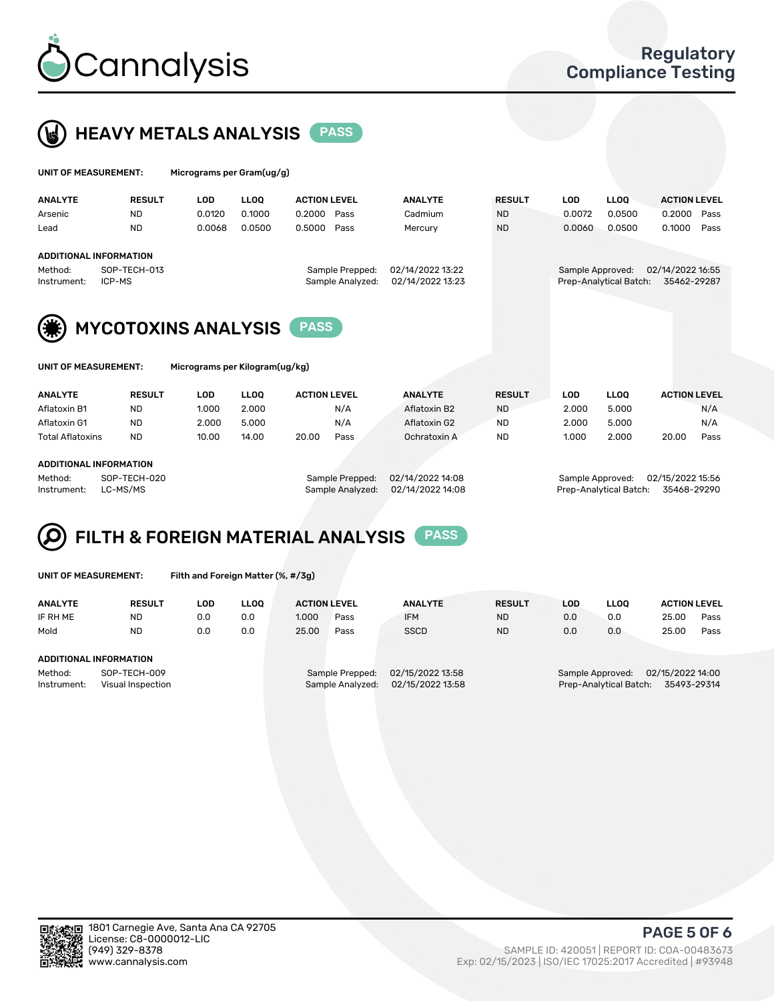



| UNIT OF MEASUREMENT:   |                            | Micrograms per Gram(ug/g) |             |                                     |                                      |               |                  |                        |                                 |      |
|------------------------|----------------------------|---------------------------|-------------|-------------------------------------|--------------------------------------|---------------|------------------|------------------------|---------------------------------|------|
| <b>ANALYTE</b>         | <b>RESULT</b>              | <b>LOD</b>                | <b>LLOO</b> | <b>ACTION LEVEL</b>                 | <b>ANALYTE</b>                       | <b>RESULT</b> | <b>LOD</b>       | <b>LLOO</b>            | <b>ACTION LEVEL</b>             |      |
| Arsenic                | <b>ND</b>                  | 0.0120                    | 0.1000      | 0.2000<br>Pass                      | Cadmium                              | <b>ND</b>     | 0.0072           | 0.0500                 | 0.2000                          | Pass |
| Lead                   | <b>ND</b>                  | 0.0068                    | 0.0500      | 0.5000<br>Pass                      | Mercury                              | <b>ND</b>     | 0.0060           | 0.0500                 | 0.1000                          | Pass |
|                        | ADDITIONAL INFORMATION     |                           |             |                                     |                                      |               |                  |                        |                                 |      |
| Method:<br>Instrument: | SOP-TECH-013<br>ICP-MS     |                           |             | Sample Prepped:<br>Sample Analyzed: | 02/14/2022 13:22<br>02/14/2022 13:23 |               | Sample Approved: | Prep-Analytical Batch: | 02/14/2022 16:55<br>35462-29287 |      |
| (業)                    | <b>MYCOTOXINS ANALYSIS</b> |                           |             | <b>PASS</b>                         |                                      |               |                  |                        |                                 |      |



UNIT OF MEASUREMENT: Micrograms per Kilogram(ug/kg)

| <b>ANALYTE</b>          | <b>RESULT</b> | LOD   | <b>LLOO</b> | <b>ACTION LEVEL</b> |      | <b>ANALYTE</b> | <b>RESULT</b> | LOD   | <b>LLOO</b> | <b>ACTION LEVEL</b> |      |
|-------------------------|---------------|-------|-------------|---------------------|------|----------------|---------------|-------|-------------|---------------------|------|
| Aflatoxin B1            | <b>ND</b>     | 1.000 | 2.000       |                     | N/A  | Aflatoxin B2   | <b>ND</b>     | 2.000 | 5.000       |                     | N/A  |
| Aflatoxin G1            | <b>ND</b>     | 2.000 | 5.000       |                     | N/A  | Aflatoxin G2   | <b>ND</b>     | 2.000 | 5.000       |                     | N/A  |
| <b>Total Aflatoxins</b> | <b>ND</b>     | 10.00 | 14.00       | 20.00               | Pass | Ochratoxin A   | <b>ND</b>     | 1.000 | 2.000       | 20.00               | Pass |
|                         |               |       |             |                     |      |                |               |       |             |                     |      |

#### ADDITIONAL INFORMATION

Method: SOP-TECH-020 Sample Prepped: 02/14/2022 14:08 Sample Approved: 02/15/2022 15:56 Instrument: LC-MS/MS Sample Analyzed: 02/14/2022 14:08 Prep-Analytical Batch: 35468-29290

# FILTH & FOREIGN MATERIAL ANALYSIS PASS

UNIT OF MEASUREMENT: Filth and Foreign Matter (%, #/3g)

| <b>ANALYTE</b>                                              | <b>RESULT</b>          | LOD | <b>LLOO</b> | <b>ACTION LEVEL</b>                 |      | <b>ANALYTE</b>                       | <b>RESULT</b> | LOD                                                                        | <b>LLOO</b> | <b>ACTION LEVEL</b> |      |
|-------------------------------------------------------------|------------------------|-----|-------------|-------------------------------------|------|--------------------------------------|---------------|----------------------------------------------------------------------------|-------------|---------------------|------|
| IF RH ME                                                    | <b>ND</b>              | 0.0 | 0.0         | 1.000                               | Pass | <b>IFM</b>                           | <b>ND</b>     | 0.0                                                                        | 0.0         | 25.00               | Pass |
| Mold                                                        | <b>ND</b>              | 0.0 | 0.0         | 25.00                               | Pass | <b>SSCD</b>                          | <b>ND</b>     | 0.0                                                                        | 0.0         | 25.00               | Pass |
|                                                             | ADDITIONAL INFORMATION |     |             |                                     |      |                                      |               |                                                                            |             |                     |      |
| Method:<br>SOP-TECH-009<br>Instrument:<br>Visual Inspection |                        |     |             | Sample Prepped:<br>Sample Analyzed: |      | 02/15/2022 13:58<br>02/15/2022 13:58 |               | 02/15/2022 14:00<br>Sample Approved:<br>Prep-Analytical Batch: 35493-29314 |             |                     |      |



PAGE 5 OF 6